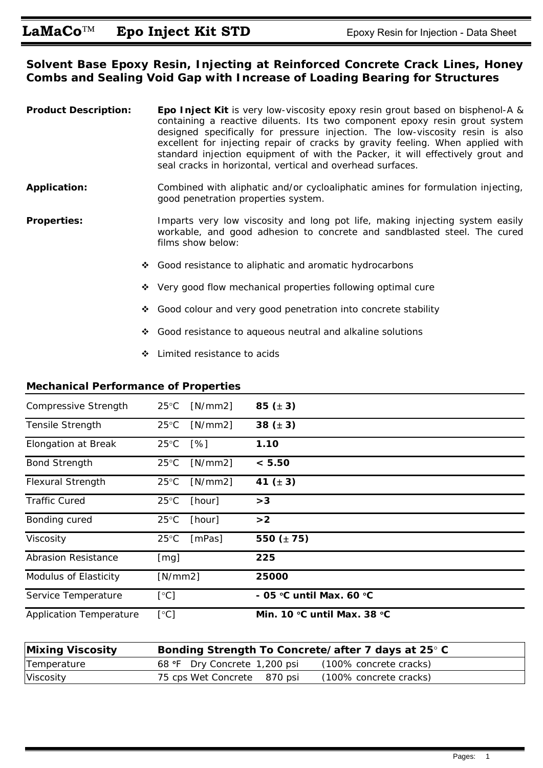### **Solvent Base Epoxy Resin, Injecting at Reinforced Concrete Crack Lines, Honey Combs and Sealing Void Gap with Increase of Loading Bearing for Structures**

| <b>Product Description:</b> |   | Epo Inject Kit is very low-viscosity epoxy resin grout based on bisphenol-A &<br>containing a reactive diluents. Its two component epoxy resin grout system<br>designed specifically for pressure injection. The low-viscosity resin is also<br>excellent for injecting repair of cracks by gravity feeling. When applied with<br>standard injection equipment of with the Packer, it will effectively grout and<br>seal cracks in horizontal, vertical and overhead surfaces. |
|-----------------------------|---|--------------------------------------------------------------------------------------------------------------------------------------------------------------------------------------------------------------------------------------------------------------------------------------------------------------------------------------------------------------------------------------------------------------------------------------------------------------------------------|
| <b>Application:</b>         |   | Combined with aliphatic and/or cycloaliphatic amines for formulation injecting,<br>good penetration properties system.                                                                                                                                                                                                                                                                                                                                                         |
| <b>Properties:</b>          |   | Imparts very low viscosity and long pot life, making injecting system easily<br>workable, and good adhesion to concrete and sandblasted steel. The cured<br>films show below:                                                                                                                                                                                                                                                                                                  |
|                             | ❖ | Good resistance to aliphatic and aromatic hydrocarbons                                                                                                                                                                                                                                                                                                                                                                                                                         |
|                             |   | ❖ Very good flow mechanical properties following optimal cure                                                                                                                                                                                                                                                                                                                                                                                                                  |
|                             | ❖ | Good colour and very good penetration into concrete stability                                                                                                                                                                                                                                                                                                                                                                                                                  |
|                             | 樂 | Good resistance to aqueous neutral and alkaline solutions                                                                                                                                                                                                                                                                                                                                                                                                                      |

Limited resistance to acids

#### **Mechanical Performance of Properties**

| Compressive Strength           | $25^{\circ}$ C | [N/mm2]            | 85 $(\pm 3)$                                  |
|--------------------------------|----------------|--------------------|-----------------------------------------------|
| Tensile Strength               | $25^{\circ}$ C | [N/mm2]            | 38 $(\pm 3)$                                  |
| <b>Elongation at Break</b>     | $25^{\circ}$ C | $\lceil \% \rceil$ | 1.10                                          |
| <b>Bond Strength</b>           | $25^{\circ}$ C | [N/mm2]            | < 5.50                                        |
| <b>Flexural Strength</b>       | $25^{\circ}$ C | [N/mm2]            | 41 $(\pm 3)$                                  |
| <b>Traffic Cured</b>           | $25^{\circ}$ C | [hour]             | >3                                            |
| Bonding cured                  | $25^{\circ}$ C | [hour]             | >2                                            |
| Viscosity                      | $25^{\circ}$ C | [mPas]             | 550 $(± 75)$                                  |
| <b>Abrasion Resistance</b>     | [mg]           |                    | 225                                           |
| Modulus of Elasticity          | [N/mm2]        |                    | 25000                                         |
| Service Temperature            | [°C]           |                    | - 05 °C until Max. 60 °C                      |
| <b>Application Temperature</b> | [°C]           |                    | Min. 10 $\degree$ C until Max. 38 $\degree$ C |

| <b>Mixing Viscosity</b> | Bonding Strength To Concrete/after 7 days at 25° C |                        |
|-------------------------|----------------------------------------------------|------------------------|
| Temperature             | 68 °F Dry Concrete 1,200 psi                       | (100% concrete cracks) |
| Viscosity               | 75 cps Wet Concrete 870 psi                        | (100% concrete cracks) |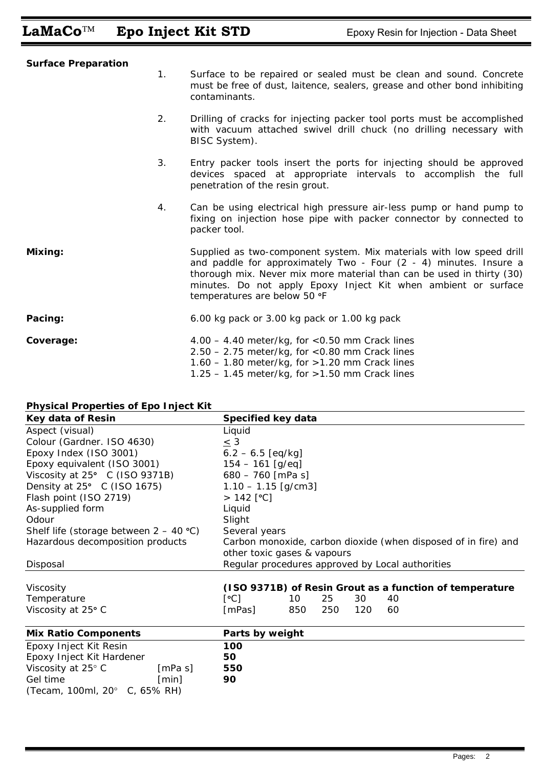# LaMaCo<sup>™</sup> Epo Inject Kit STD Epoxy Resin for Injection - Data Sheet

| <b>Surface Preparation</b> | 1. | Surface to be repaired or sealed must be clean and sound. Concrete<br>must be free of dust, laitence, sealers, grease and other bond inhibiting<br>contaminants.                                                                                                                                                     |
|----------------------------|----|----------------------------------------------------------------------------------------------------------------------------------------------------------------------------------------------------------------------------------------------------------------------------------------------------------------------|
|                            | 2. | Drilling of cracks for injecting packer tool ports must be accomplished<br>with vacuum attached swivel drill chuck (no drilling necessary with<br>BISC System).                                                                                                                                                      |
|                            | 3. | Entry packer tools insert the ports for injecting should be approved<br>devices spaced at appropriate intervals to accomplish the full<br>penetration of the resin grout.                                                                                                                                            |
|                            | 4. | Can be using electrical high pressure air-less pump or hand pump to<br>fixing on injection hose pipe with packer connector by connected to<br>packer tool.                                                                                                                                                           |
| Mixing:                    |    | Supplied as two-component system. Mix materials with low speed drill<br>and paddle for approximately Two - Four (2 - 4) minutes. Insure a<br>thorough mix. Never mix more material than can be used in thirty (30)<br>minutes. Do not apply Epoxy Inject Kit when ambient or surface<br>temperatures are below 50 °F |
| Pacing:                    |    | 6.00 kg pack or 3.00 kg pack or 1.00 kg pack                                                                                                                                                                                                                                                                         |
| Coverage:                  |    | $4.00 - 4.40$ meter/kg, for $< 0.50$ mm Crack lines<br>$2.50 - 2.75$ meter/kg, for <0.80 mm Crack lines<br>$1.60 - 1.80$ meter/kg, for $>1.20$ mm Crack lines<br>$1.25 - 1.45$ meter/kg, for $>1.50$ mm Crack lines                                                                                                  |

### **Physical Properties of Epo Inject Kit**

| Key data of Resin                        | Specified key data                                             |  |  |  |
|------------------------------------------|----------------------------------------------------------------|--|--|--|
| Aspect (visual)                          | Liquid                                                         |  |  |  |
| Colour (Gardner. ISO 4630)               | $\leq$ 3                                                       |  |  |  |
| Epoxy Index (ISO 3001)                   | $6.2 - 6.5$ [eq/kg]                                            |  |  |  |
| Epoxy equivalent (ISO 3001)              | $154 - 161$ [g/eq]                                             |  |  |  |
| Viscosity at 25° C (ISO 9371B)           | $680 - 760$ [mPa s]                                            |  |  |  |
| Density at 25° C (ISO 1675)              | $1.10 - 1.15$ [g/cm3]                                          |  |  |  |
| Flash point (ISO 2719)                   | $> 142$ [°C]                                                   |  |  |  |
| As-supplied form                         | Liquid                                                         |  |  |  |
| Odour                                    | Slight                                                         |  |  |  |
| Shelf life (storage between $2 - 40$ °C) | Several years                                                  |  |  |  |
| Hazardous decomposition products         | Carbon monoxide, carbon dioxide (when disposed of in fire) and |  |  |  |
|                                          | other toxic gases & vapours                                    |  |  |  |
| Disposal                                 | Regular procedures approved by Local authorities               |  |  |  |
|                                          |                                                                |  |  |  |
| Viscosity                                | (ISO 9371B) of Resin Grout as a function of temperature        |  |  |  |
| Temperature                              | [°C]<br>25<br>10<br>30<br>40                                   |  |  |  |
| Viscosity at 25° C                       | 120<br>[mPas]<br>850<br>250<br>60                              |  |  |  |
| <b>Mix Ratio Components</b>              | Parts by weight                                                |  |  |  |
| Epoxy Inject Kit Resin                   | 100                                                            |  |  |  |
| Epoxy Inject Kit Hardener                | 50                                                             |  |  |  |
| Viscosity at 25° C<br>[mPa s]            | 550                                                            |  |  |  |
| Gel time<br>[min]                        | 90                                                             |  |  |  |
| (Tecam, 100ml, 20° C, 65% RH)            |                                                                |  |  |  |